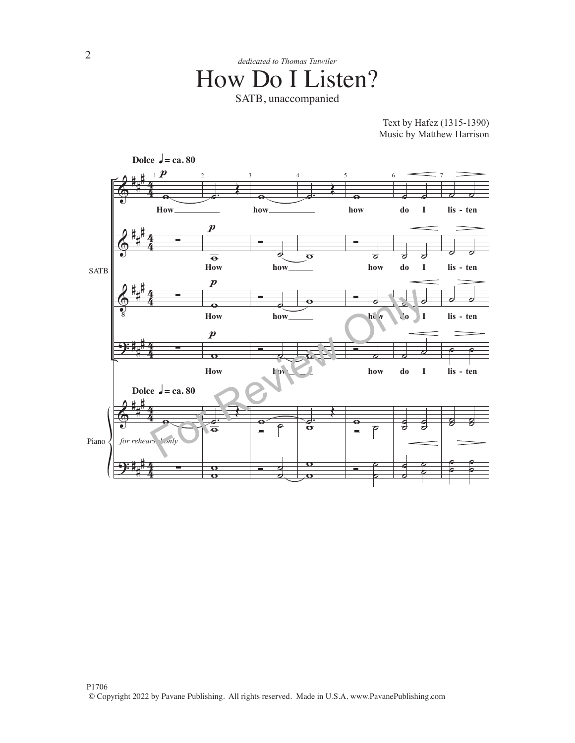How Do I Listen? SATB, unaccompanied *dedicated to Thomas Tutwiler*

> Text by Hafez (1315-1390) Music by Matthew Harrison

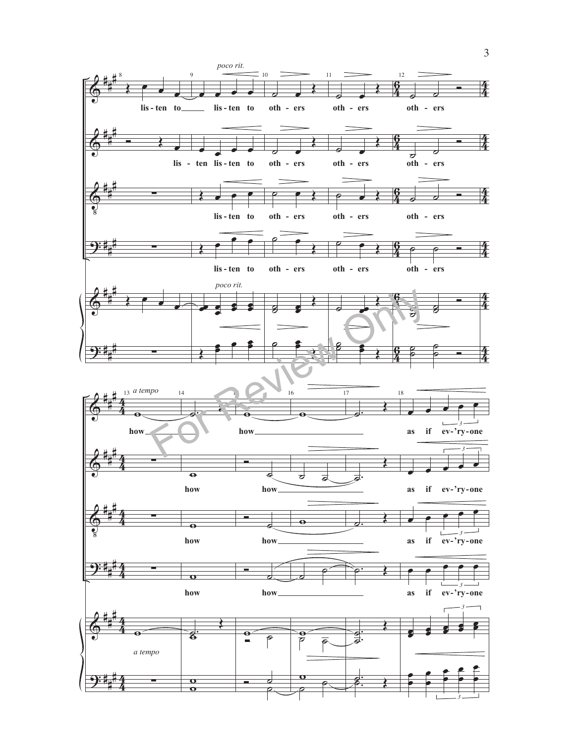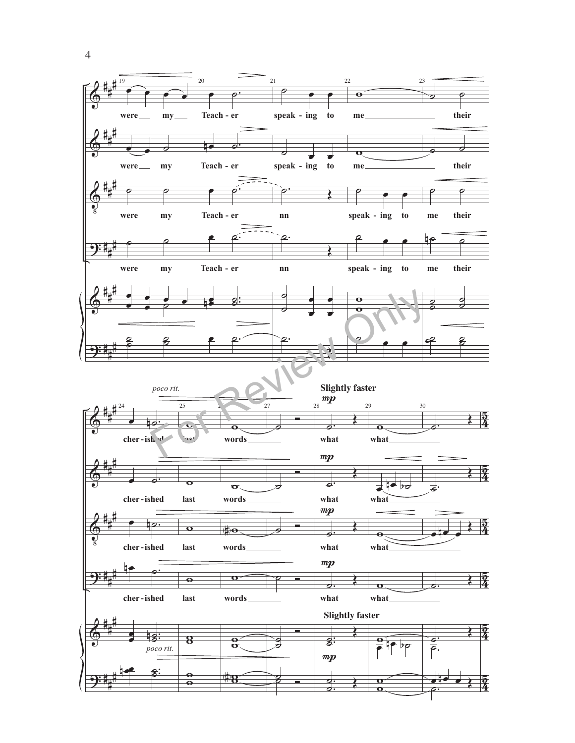

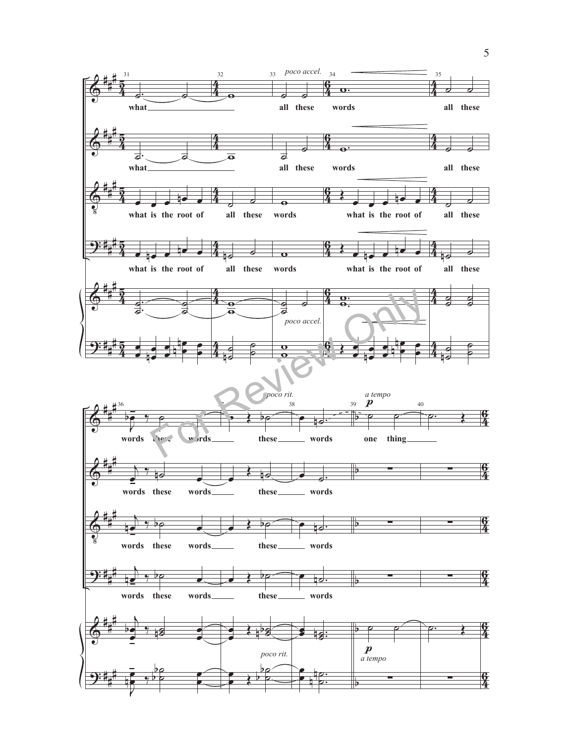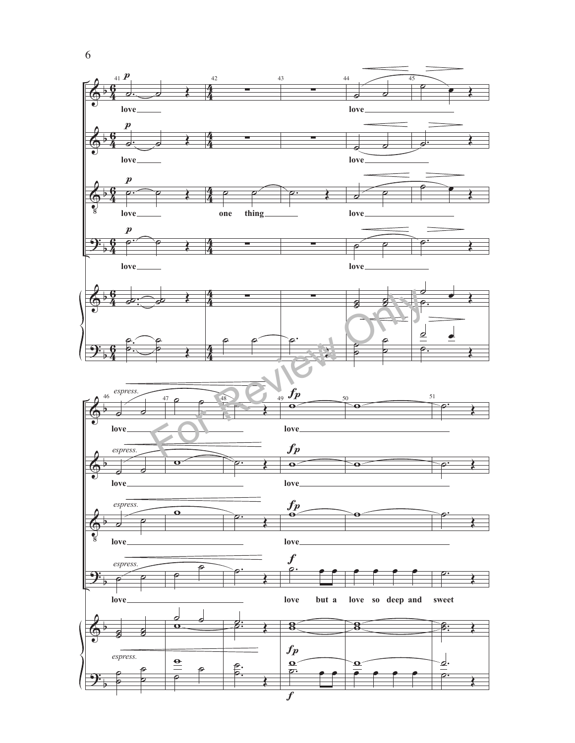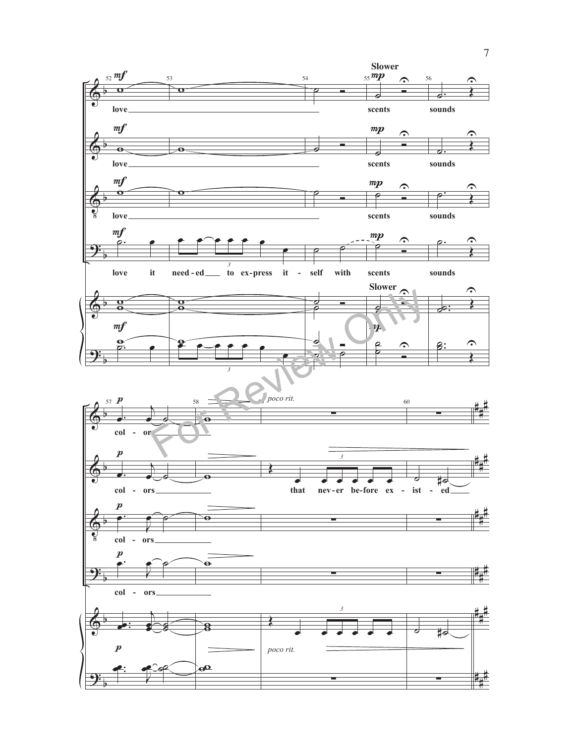